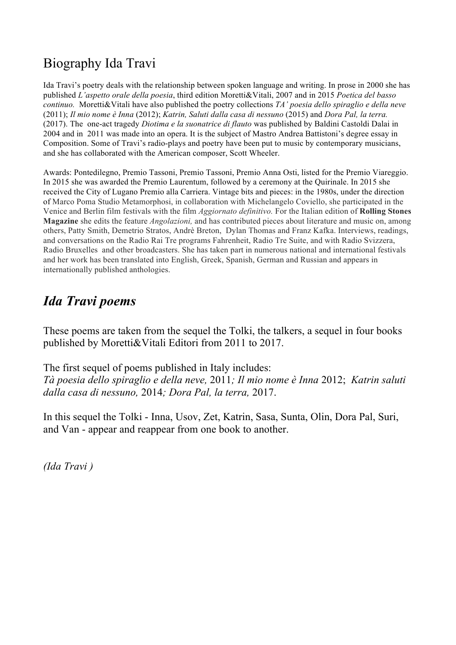# Biography Ida Travi

Ida Travi's poetry deals with the relationship between spoken language and writing. In prose in 2000 she has published *L'aspetto orale della poesia*, third edition Moretti&Vitali, 2007 and in 2015 *Poetica del basso continuo.* Moretti&Vitali have also published the poetry collections *TA' poesia dello spiraglio e della neve* (2011); *Il mio nome è Inna* (2012); *Katrin, Saluti dalla casa di nessuno* (2015) and *Dora Pal, la terra.* (2017). The one-act tragedy *Diotima e la suonatrice di flauto* was published by Baldini Castoldi Dalai in 2004 and in 2011 was made into an opera. It is the subject of Mastro Andrea Battistoni's degree essay in Composition. Some of Travi's radio-plays and poetry have been put to music by contemporary musicians, and she has collaborated with the American composer, Scott Wheeler.

Awards: Pontedilegno, Premio Tassoni, Premio Tassoni, Premio Anna Osti, listed for the Premio Viareggio. In 2015 she was awarded the Premio Laurentum, followed by a ceremony at the Quirinale. In 2015 she received the City of Lugano Premio alla Carriera. Vintage bits and pieces: in the 1980s, under the direction of Marco Poma Studio Metamorphosi, in collaboration with Michelangelo Coviello, she participated in the Venice and Berlin film festivals with the film *Aggiornato definitivo.* For the Italian edition of **Rolling Stones Magazine** she edits the feature *Angolazioni,* and has contributed pieces about literature and music on, among others, Patty Smith, Demetrio Stratos, Andrè Breton, Dylan Thomas and Franz Kafka. Interviews, readings, and conversations on the Radio Rai Tre programs Fahrenheit, Radio Tre Suite, and with Radio Svizzera, Radio Bruxelles and other broadcasters. She has taken part in numerous national and international festivals and her work has been translated into English, Greek, Spanish, German and Russian and appears in internationally published anthologies.

# *Ida Travi poems*

These poems are taken from the sequel the Tolki, the talkers, a sequel in four books published by Moretti&Vitali Editori from 2011 to 2017.

The first sequel of poems published in Italy includes:

*Tà poesia dello spiraglio e della neve,* 2011*; Il mio nome è Inna* 2012; *Katrin saluti dalla casa di nessuno,* 2014*; Dora Pal, la terra,* 2017.

In this sequel the Tolki - Inna, Usov, Zet, Katrin, Sasa, Sunta, Olin, Dora Pal, Suri, and Van - appear and reappear from one book to another.

*(Ida Travi )*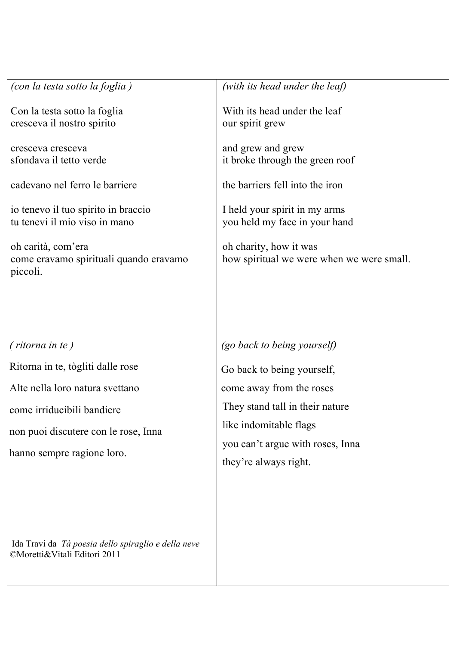| (con la testa sotto la foglia)                                           | (with its head under the leaf)                                      |
|--------------------------------------------------------------------------|---------------------------------------------------------------------|
| Con la testa sotto la foglia<br>cresceva il nostro spirito               | With its head under the leaf<br>our spirit grew                     |
|                                                                          |                                                                     |
| cresceva cresceva<br>sfondava il tetto verde                             | and grew and grew<br>it broke through the green roof                |
| cadevano nel ferro le barriere                                           | the barriers fell into the iron                                     |
|                                                                          |                                                                     |
| io tenevo il tuo spirito in braccio<br>tu tenevi il mio viso in mano     | I held your spirit in my arms<br>you held my face in your hand      |
|                                                                          |                                                                     |
| oh carità, com'era<br>come eravamo spirituali quando eravamo<br>piccoli. | oh charity, how it was<br>how spiritual we were when we were small. |
|                                                                          |                                                                     |
|                                                                          |                                                                     |
|                                                                          |                                                                     |
| (ritorna in te)                                                          | (go back to being yourself)                                         |
| Ritorna in te, tògliti dalle rose                                        | Go back to being yourself,                                          |
| Alte nella loro natura svettano                                          | come away from the roses                                            |
| come irriducibili bandiere                                               | They stand tall in their nature                                     |
| non puoi discutere con le rose, Inna                                     | like indomitable flags                                              |
| hanno sempre ragione loro.                                               | you can't argue with roses, Inna                                    |
|                                                                          | they're always right.                                               |

Ida Travi da *Tà poesia dello spiraglio e della neve ©*Moretti&Vitali Editori 2011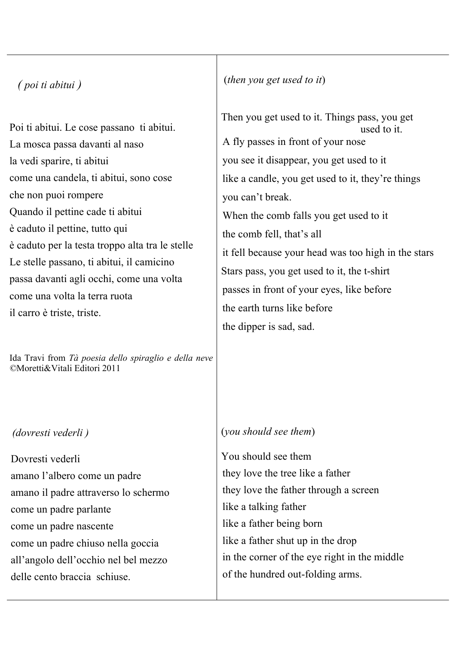# *( poi ti abitui )*

Poi ti abitui. Le cose passano ti abitui. La mosca passa davanti al naso la vedi sparire, ti abitui come una candela, ti abitui, sono cose che non puoi rompere Quando il pettine cade ti abitui è caduto il pettine, tutto qui è caduto per la testa troppo alta tra le stelle Le stelle passano, ti abitui, il camicino passa davanti agli occhi, come una volta come una volta la terra ruota il carro è triste, triste.

Ida Travi from *Tà poesia dello spiraglio e della neve ©*Moretti&Vitali Editori 2011

#### *(dovresti vederli )*

Dovresti vederli amano l'albero come un padre amano il padre attraverso lo schermo come un padre parlante come un padre nascente come un padre chiuso nella goccia all'angolo dell'occhio nel bel mezzo delle cento braccia schiuse.

#### (*then you get used to it*)

Then you get used to it. Things pass, you get used to it. A fly passes in front of your nose you see it disappear, you get used to it like a candle, you get used to it, they're things you can't break. When the comb falls you get used to it the comb fell, that's all it fell because your head was too high in the stars Stars pass, you get used to it, the t-shirt passes in front of your eyes, like before the earth turns like before the dipper is sad, sad.

#### (*you should see them*)

You should see them they love the tree like a father they love the father through a screen like a talking father like a father being born like a father shut up in the drop in the corner of the eye right in the middle of the hundred out-folding arms.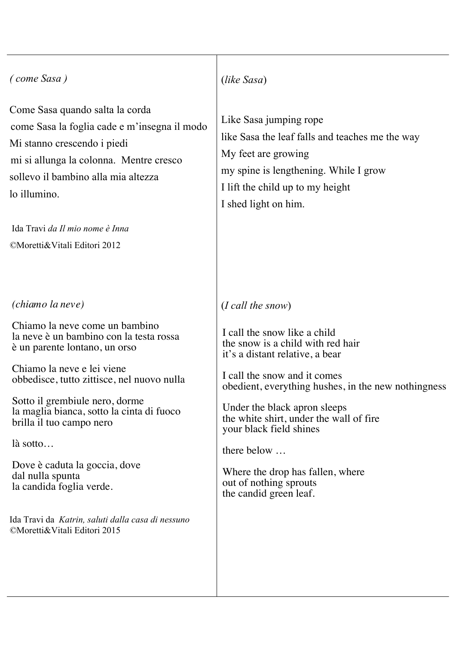# *( come Sasa )*  Come Sasa quando salta la corda come Sasa la foglia cade e m'insegna il modo Mi stanno crescendo i piedi mi si allunga la colonna. Mentre cresco sollevo il bambino alla mia altezza lo illumino. Ida Travi *da Il mio nome è Inna ©*Moretti&Vitali Editori 2012 *(chiamo la neve)* Chiamo la neve come un bambino la neve è un bambino con la testa rossa è un parente lontano, un orso Chiamo la neve e lei viene obbedisce, tutto zittisce, nel nuovo nulla Sotto il grembiule nero, dorme la maglia bianca, sotto la cinta di fuoco brilla il tuo campo nero (*like Sasa*) Like Sasa jumping rope My feet are growing I lift the child up to my height I shed light on him. (*I call the snow*) I call the snow like a child the snow is a child with red hair it's a distant relative, a bear I call the snow and it comes Under the black apron sleeps

là sotto…

Dove è caduta la goccia, dove dal nulla spunta la candida foglia verde.

Ida Travi da *Katrin, saluti dalla casa di nessuno ©*Moretti&Vitali Editori 2015

like Sasa the leaf falls and teaches me the way my spine is lengthening. While I grow

obedient, everything hushes, in the new nothingness

the white shirt, under the wall of fire your black field shines

there below …

Where the drop has fallen, where out of nothing sprouts the candid green leaf.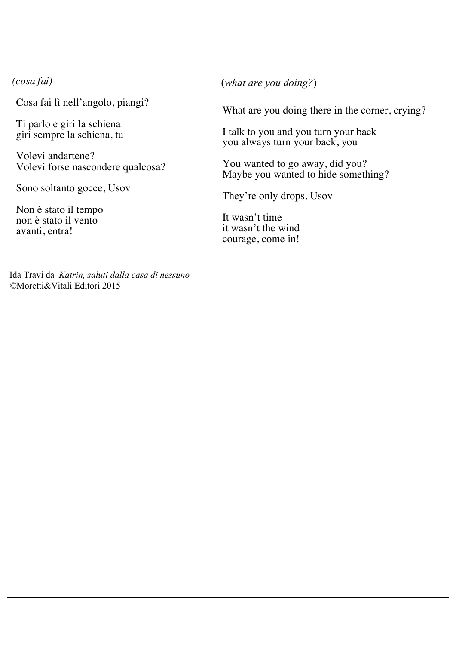# *(cosa fai)*

Cosa fai lì nell'angolo, piangi?

Ti parlo e giri la schiena giri sempre la schiena, tu

Volevi andartene? Volevi forse nascondere qualcosa?

Sono soltanto gocce, Usov

Non è stato il tempo non è stato il vento avanti, entra!

Ida Travi da *Katrin, saluti dalla casa di nessuno ©*Moretti&Vitali Editori 2015

(*what are you doing?*)

What are you doing there in the corner, crying?

I talk to you and you turn your back you always turn your back, you

You wanted to go away, did you? Maybe you wanted to hide something?

They're only drops, Usov

It wasn't time it wasn't the wind courage, come in!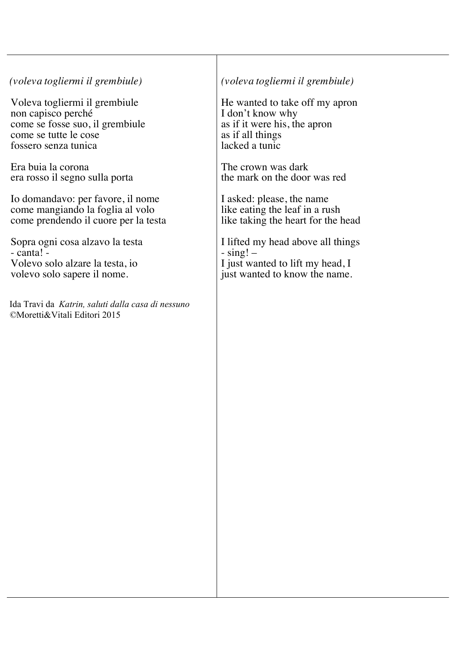## *(voleva togliermi il grembiule)*

Voleva togliermi il grembiule non capisco perché come se fosse suo, il grembiule come se tutte le cose fossero senza tunica

Era buia la corona era rosso il segno sulla porta

Io domandavo: per favore, il nome come mangiando la foglia al volo come prendendo il cuore per la testa

Sopra ogni cosa alzavo la testa  $-$  canta!  $-$ Volevo solo alzare la testa, io volevo solo sapere il nome.

Ida Travi da *Katrin, saluti dalla casa di nessuno ©*Moretti&Vitali Editori 2015

# *(voleva togliermi il grembiule)*

He wanted to take off my apron I don't know why as if it were his, the apron as if all things lacked a tunic

The crown was dark the mark on the door was red

I asked: please, the name like eating the leaf in a rush like taking the heart for the head

I lifted my head above all things  $-$  sing!  $-$ I just wanted to lift my head, I just wanted to know the name.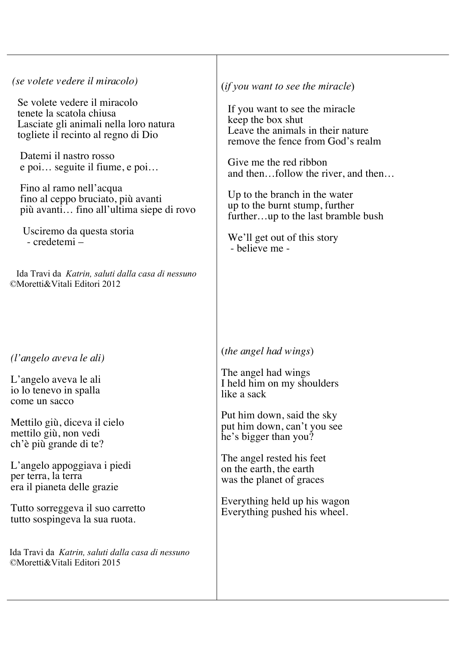#### *(se volete vedere il miracolo)*

Se volete vedere il miracolo tenete la scatola chiusa Lasciate gli animali nella loro natura togliete il recinto al regno di Dio

 Datemi il nastro rosso e poi… seguite il fiume, e poi…

 Fino al ramo nell'acqua fino al ceppo bruciato, più avanti più avanti… fino all'ultima siepe di rovo

 Usciremo da questa storia - credetemi –

 Ida Travi da *Katrin, saluti dalla casa di nessuno ©*Moretti&Vitali Editori 2012

#### *(l'angelo aveva le ali)*

L'angelo aveva le ali io lo tenevo in spalla come un sacco

Mettilo giù, diceva il cielo mettilo giù, non vedi ch'è più grande di te?

L'angelo appoggiava i piedi per terra, la terra era il pianeta delle grazie

Tutto sorreggeva il suo carretto tutto sospingeva la sua ruota.

Ida Travi da *Katrin, saluti dalla casa di nessuno ©*Moretti&Vitali Editori 2015

(*if you want to see the miracle*)

If you want to see the miracle keep the box shut Leave the animals in their nature remove the fence from God's realm

Give me the red ribbon and then…follow the river, and then…

Up to the branch in the water up to the burnt stump, further further…up to the last bramble bush

We'll get out of this story<br>- believe me -

#### (*the angel had wings*)

The angel had wings I held him on my shoulders like a sack

Put him down, said the sky put him down, can't you see he's bigger than you?

The angel rested his feet on the earth, the earth was the planet of graces

Everything held up his wagon Everything pushed his wheel.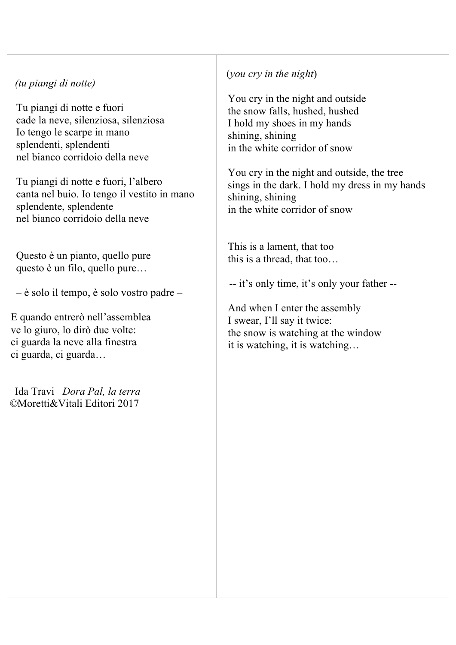## *(tu piangi di notte)*

Tu piangi di notte e fuori cade la neve, silenziosa, silenziosa Io tengo le scarpe in mano splendenti, splendenti nel bianco corridoio della neve

Tu piangi di notte e fuori, l'albero canta nel buio. Io tengo il vestito in mano splendente, splendente nel bianco corridoio della neve

Questo è un pianto, quello pure questo è un filo, quello pure…

– è solo il tempo, è solo vostro padre –

E quando entrerò nell'assemblea ve lo giuro, lo dirò due volte: ci guarda la neve alla finestra ci guarda, ci guarda…

 Ida Travi *Dora Pal, la terra ©*Moretti&Vitali Editori 2017

# (*you cry in the night*)

You cry in the night and outside the snow falls, hushed, hushed I hold my shoes in my hands shining, shining in the white corridor of snow

You cry in the night and outside, the tree sings in the dark. I hold my dress in my hands shining, shining in the white corridor of snow

This is a lament, that too this is a thread, that too…

-- it's only time, it's only your father --

And when I enter the assembly I swear, I'll say it twice: the snow is watching at the window it is watching, it is watching…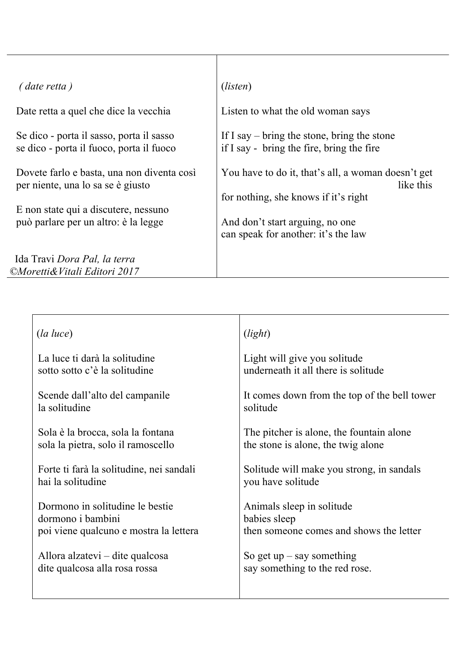| (date retta)                                                                                                            | ( <i>listen</i> )                                                                                       |
|-------------------------------------------------------------------------------------------------------------------------|---------------------------------------------------------------------------------------------------------|
| Date retta a quel che dice la vecchia                                                                                   | Listen to what the old woman says                                                                       |
| Se dico - porta il sasso, porta il sasso<br>se dico - porta il fuoco, porta il fuoco                                    | If I say $-$ bring the stone, bring the stone<br>if I say - bring the fire, bring the fire              |
| Dovete farlo e basta, una non diventa così<br>per niente, una lo sa se è giusto<br>E non state qui a discutere, nessuno | You have to do it, that's all, a woman doesn't get<br>like this<br>for nothing, she knows if it's right |
| può parlare per un altro: è la legge                                                                                    | And don't start arguing, no one<br>can speak for another: it's the law                                  |
| Ida Travi Dora Pal, la terra                                                                                            |                                                                                                         |
| ©Moretti& Vitali Editori 2017                                                                                           |                                                                                                         |

| $(la \ luce)$                            | (light)                                      |
|------------------------------------------|----------------------------------------------|
| La luce ti darà la solitudine            | Light will give you solitude                 |
| sotto sotto c'è la solitudine            | underneath it all there is solitude          |
| Scende dall'alto del campanile           | It comes down from the top of the bell tower |
| la solitudine                            | solitude                                     |
| Sola è la brocca, sola la fontana        | The pitcher is alone, the fountain alone     |
| sola la pietra, solo il ramoscello       | the stone is alone, the twig alone           |
| Forte ti farà la solitudine, nei sandali | Solitude will make you strong, in sandals    |
| hai la solitudine                        | you have solitude                            |
| Dormono in solitudine le bestie          | Animals sleep in solitude                    |
| dormono i bambini                        | babies sleep                                 |
| poi viene qualcuno e mostra la lettera   | then someone comes and shows the letter      |
| Allora alzatevi – dite qualcosa          | So get $up - say$ something                  |
| dite qualcosa alla rosa rossa            | say something to the red rose.               |